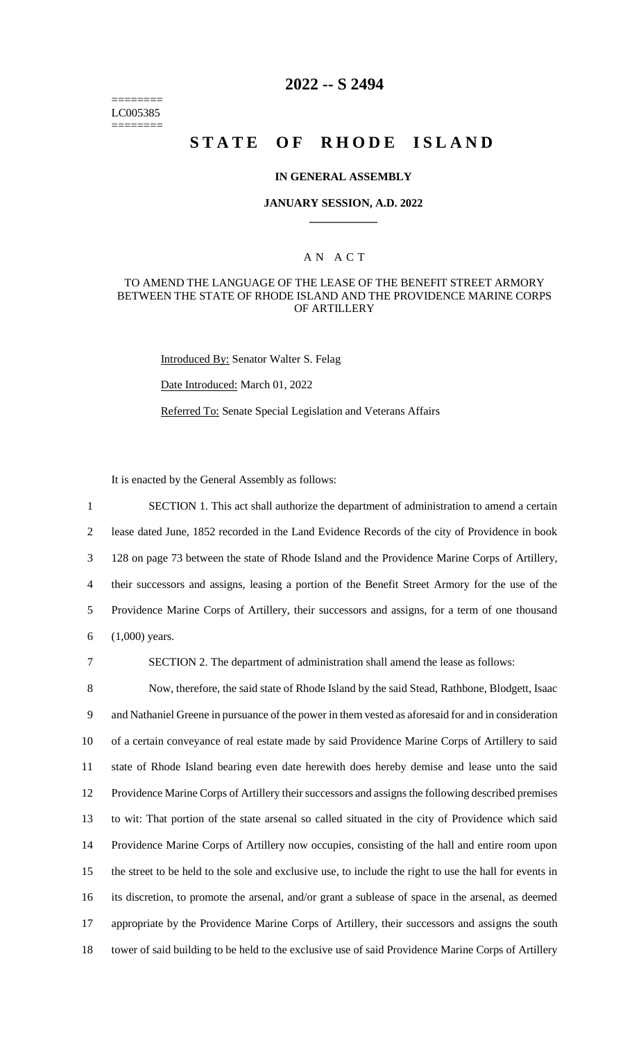======== LC005385 ========

# **2022 -- S 2494**

# **STATE OF RHODE ISLAND**

#### **IN GENERAL ASSEMBLY**

#### **JANUARY SESSION, A.D. 2022 \_\_\_\_\_\_\_\_\_\_\_\_**

### A N A C T

#### TO AMEND THE LANGUAGE OF THE LEASE OF THE BENEFIT STREET ARMORY BETWEEN THE STATE OF RHODE ISLAND AND THE PROVIDENCE MARINE CORPS OF ARTILLERY

Introduced By: Senator Walter S. Felag

Date Introduced: March 01, 2022

Referred To: Senate Special Legislation and Veterans Affairs

It is enacted by the General Assembly as follows:

 SECTION 1. This act shall authorize the department of administration to amend a certain lease dated June, 1852 recorded in the Land Evidence Records of the city of Providence in book 128 on page 73 between the state of Rhode Island and the Providence Marine Corps of Artillery, their successors and assigns, leasing a portion of the Benefit Street Armory for the use of the Providence Marine Corps of Artillery, their successors and assigns, for a term of one thousand (1,000) years.

7 SECTION 2. The department of administration shall amend the lease as follows:

 Now, therefore, the said state of Rhode Island by the said Stead, Rathbone, Blodgett, Isaac and Nathaniel Greene in pursuance of the power in them vested as aforesaid for and in consideration of a certain conveyance of real estate made by said Providence Marine Corps of Artillery to said state of Rhode Island bearing even date herewith does hereby demise and lease unto the said Providence Marine Corps of Artillery their successors and assigns the following described premises to wit: That portion of the state arsenal so called situated in the city of Providence which said Providence Marine Corps of Artillery now occupies, consisting of the hall and entire room upon the street to be held to the sole and exclusive use, to include the right to use the hall for events in its discretion, to promote the arsenal, and/or grant a sublease of space in the arsenal, as deemed appropriate by the Providence Marine Corps of Artillery, their successors and assigns the south tower of said building to be held to the exclusive use of said Providence Marine Corps of Artillery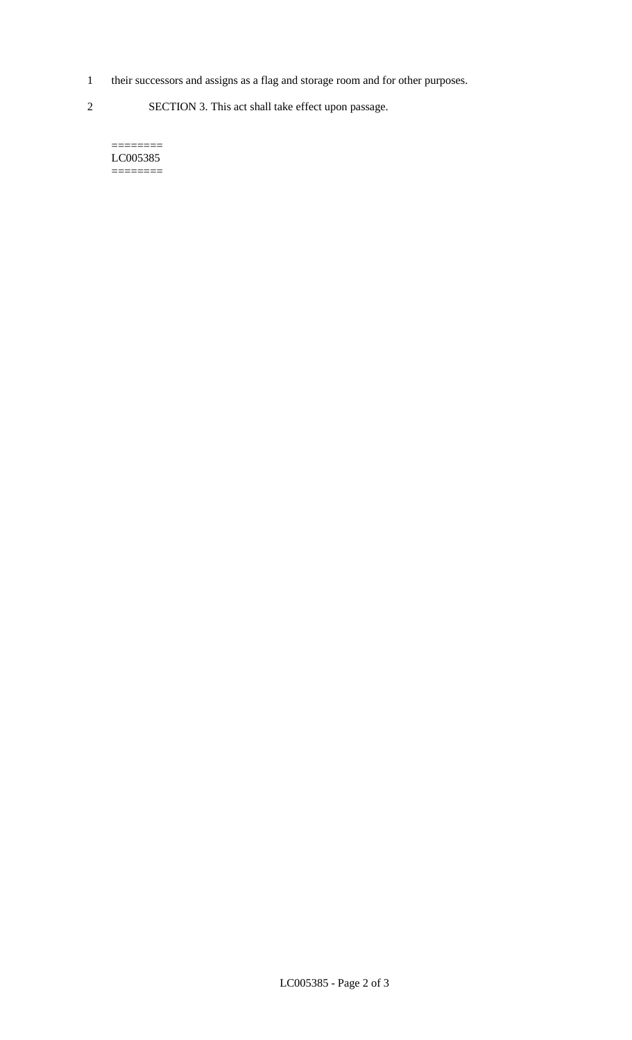1 their successors and assigns as a flag and storage room and for other purposes.

2 SECTION 3. This act shall take effect upon passage.

======== LC005385  $=$